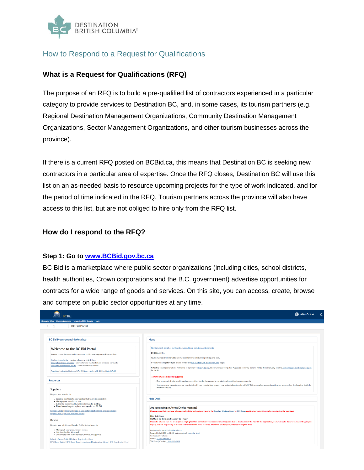

# How to Respond to a Request for Qualifications

# **What is a Request for Qualifications (RFQ)**

The purpose of an RFQ is to build a pre-qualified list of contractors experienced in a particular category to provide services to Destination BC, and, in some cases, its tourism partners (e.g. Regional Destination Management Organizations, Community Destination Management Organizations, Sector Management Organizations, and other tourism businesses across the province).

If there is a current RFQ posted on BCBid.ca, this means that Destination BC is seeking new contractors in a particular area of expertise. Once the RFQ closes, Destination BC will use this list on an as-needed basis to resource upcoming projects for the type of work indicated, and for the period of time indicated in the RFQ. Tourism partners across the province will also have access to this list, but are not obliged to hire only from the RFQ list.

#### **How do I respond to the RFQ?**

#### **Step 1: Go to [www.BCBid.gov.bc.ca](https://new.bcbid.gov.bc.ca/page.aspx/en/usr/login?ReturnUrl=%2fpage.aspx%2fen%2fbuy%2fhomepage)**

BC Bid is a marketplace where public sector organizations (including cities, school districts, health authorities, Crown corporations and the B.C. government) advertise opportunities for contracts for a wide range of goods and services. On this site, you can access, create, browse and compete on public sector opportunities at any time.

| <b>BCBid</b>                                                                                                                                               | <b>Ga</b> Adjust Contrast                                                                                                                                                                                                         |
|------------------------------------------------------------------------------------------------------------------------------------------------------------|-----------------------------------------------------------------------------------------------------------------------------------------------------------------------------------------------------------------------------------|
| Opportunities Contract Awards Unverified Bid Results Login                                                                                                 |                                                                                                                                                                                                                                   |
| $\mathbb{F}_\mathbb{C}$<br><b>BC Bid Portal</b>                                                                                                            |                                                                                                                                                                                                                                   |
|                                                                                                                                                            |                                                                                                                                                                                                                                   |
|                                                                                                                                                            |                                                                                                                                                                                                                                   |
| <b>BC Bid Procurement Marketplace</b>                                                                                                                      | <b>News</b>                                                                                                                                                                                                                       |
| <b>Welcome to the BC Bid Portal</b>                                                                                                                        | Stay informed, get all of our latest news and learn about upcoming events.                                                                                                                                                        |
| Access, create, browse, and compete on public sector opportunities anytime.                                                                                | <b>BC Bid now live!</b>                                                                                                                                                                                                           |
| Find an opportunity - Explore all current solicitations                                                                                                    | Your new modernized BC Bid is now open for new solicitation postings and bids.                                                                                                                                                    |
| View all contracts awarded - Search for and read details on awarded contracts                                                                              | If you haven't registered yet, please review the Get started with the new BC Bid pages.                                                                                                                                           |
| View all unverified bid results - View preliminary results<br>Suppliers login with Business BCeID   Buvers login with IDIR or Basic BCeID                  | Note: Pre-existing solicitations will run to completion on legacy BC Bid. Opportunities closing after August 31 requiring transfer will be done manually. See the Active Procurement Transfer Guide<br>for details.               |
|                                                                                                                                                            | "'IMPORTANT"" Notes for Suppliers                                                                                                                                                                                                 |
| <b>Resources</b>                                                                                                                                           | - Due to expected volumes, it may take more than five business days to complete subscription transfer requests.                                                                                                                   |
|                                                                                                                                                            | . To ensure your subscriptions are completed with your registration, request your subscription transfers DURING the complete account registration process. See the Supplier Guide for                                             |
| <b>Suppliers</b>                                                                                                                                           | additional details.                                                                                                                                                                                                               |
| Register as a supplier to:                                                                                                                                 |                                                                                                                                                                                                                                   |
| - Create a shortlist of opportunities that you're interested in:<br>· Manage your submission; and<br>· Subscribe to commodity notifications and e-bidding. | <b>Help Desk</b>                                                                                                                                                                                                                  |
| • There is no charge to register as a supplier on BC Bid.                                                                                                  | Are you getting an Access Denied message?                                                                                                                                                                                         |
| Supplier Guide   Important steps to take before starting login and registration                                                                            | Please ensure that you have followed each of the registrations steps in the Supplier, Ministry Buyer or BPS Buyer registration instructions before contacting the help desk.                                                      |
| Register and Login with Business BCeID                                                                                                                     | Help desk hours:                                                                                                                                                                                                                  |
| <b>Buyers</b>                                                                                                                                              | 8:30 am to 4:30 pm Monday to Friday<br>Please be advised that we are experiencing higher than normal call volumes and email requests due to the launch of the new BC Bid application, and we may be delayed in responding to your |
| Register as a Ministry or Broader Public Sector buyer to:                                                                                                  | inquiry. We are responding to all calls and emails in the order received. We thank you for your patience during this time.                                                                                                        |
| · Manage all your procurement events;                                                                                                                      | Contact us by email: bcbid@gov.bc.ca                                                                                                                                                                                              |
| - Link to other bid sites: and.<br>· Collaborate with team members, buyers, or suppliers.                                                                  | Support ticket (IDIR or BCeID login required): submit a ticket<br>Contact us by phone:                                                                                                                                            |
| Ministry Buyer Guide   Ministry Registration Form<br>BPS Buyer Guide   BPS Buyer Requirements and Registration Steps   BPS Registration Form               | Direct: 1-250-387-7301<br>Toll Free (BC only): 1-800-663-7867                                                                                                                                                                     |
|                                                                                                                                                            |                                                                                                                                                                                                                                   |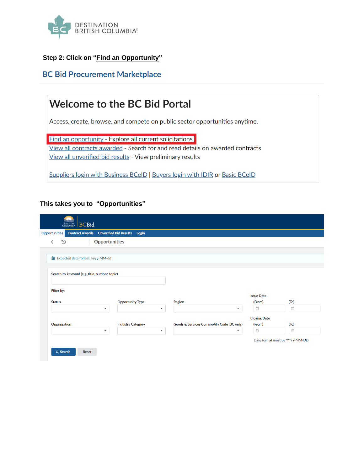

# **Step 2: Click on "Find an Opportunity"**

# **BC Bid Procurement Marketplace**

# **Welcome to the BC Bid Portal**

Access, create, browse, and compete on public sector opportunities anytime.

**Find an opportunity - Explore all current solicitations** 

View all contracts awarded - Search for and read details on awarded contracts View all unverified bid results - View preliminary results

Suppliers login with Business BCeID | Buyers login with IDIR or Basic BCeID

#### **This takes you to "Opportunities"**

|                                               | <b>Contract Awards</b> Unverified Bid Results Login  |                                                                       |                             |                                                    |
|-----------------------------------------------|------------------------------------------------------|-----------------------------------------------------------------------|-----------------------------|----------------------------------------------------|
| <b>Opportunities</b><br>D<br>≺                |                                                      |                                                                       |                             |                                                    |
|                                               |                                                      |                                                                       |                             |                                                    |
| <b>前</b> Expected date format: yyyy-MM-dd     |                                                      |                                                                       |                             |                                                    |
|                                               |                                                      |                                                                       |                             |                                                    |
| Search by keyword (e.g. title, number, topic) |                                                      |                                                                       |                             |                                                    |
|                                               |                                                      |                                                                       |                             |                                                    |
| Filter by:                                    |                                                      |                                                                       |                             |                                                    |
|                                               |                                                      |                                                                       |                             |                                                    |
|                                               |                                                      |                                                                       | <b>Issue Date</b>           |                                                    |
| <b>Status</b>                                 | <b>Opportunity Type</b>                              | <b>Region</b>                                                         | (From)                      | (T <sub>O</sub> )                                  |
| $\blacktriangledown$                          | $\overline{\phantom{a}}$                             | $\blacktriangledown$                                                  | $\Xi$                       | $\overline{\Xi}$                                   |
|                                               |                                                      |                                                                       | <b>Closing Date</b>         |                                                    |
| Organization<br>$\overline{\phantom{a}}$      | <b>Industry Category</b><br>$\overline{\phantom{a}}$ | Goods & Services Commodity Code (BC only)<br>$\overline{\phantom{a}}$ | (From)<br>$\frac{a-b}{1+a}$ | (T <sub>O</sub> )<br>$\frac{1-\delta}{1+\epsilon}$ |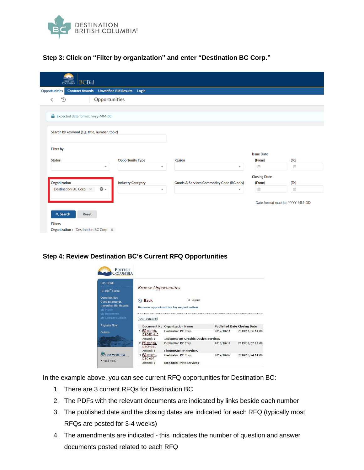

#### **Step 3: Click on "Filter by organization" and enter "Destination BC Corp."**

| <b>BCBid</b><br><b>BRITISH</b><br>COLUMBIA          |                                          |                                           |                                            |                                       |
|-----------------------------------------------------|------------------------------------------|-------------------------------------------|--------------------------------------------|---------------------------------------|
| <b>Contract Awards</b><br>Opportunities             | <b>Unverified Bid Results</b> Login      |                                           |                                            |                                       |
| Opportunities<br>$\mathbb{D}$<br>∢                  |                                          |                                           |                                            |                                       |
|                                                     |                                          |                                           |                                            |                                       |
| <b>盖</b> Expected date format: yyyy-MM-dd           |                                          |                                           |                                            |                                       |
|                                                     |                                          |                                           |                                            |                                       |
| Search by keyword (e.g. title, number, topic)       |                                          |                                           |                                            |                                       |
|                                                     |                                          |                                           |                                            |                                       |
| Filter by:                                          |                                          |                                           |                                            |                                       |
|                                                     |                                          |                                           | <b>Issue Date</b>                          |                                       |
| <b>Status</b>                                       | <b>Opportunity Type</b>                  | <b>Region</b>                             | (From)                                     | (T <sub>O</sub> )                     |
| $\overline{\phantom{a}}$                            | $\mathbf{v}$                             | ٠                                         | $\begin{bmatrix} 0.4 \\ 0.1 \end{bmatrix}$ | $\frac{\hbar\omega}{1+z}$             |
|                                                     |                                          |                                           | <b>Closing Date</b>                        |                                       |
| Organization<br>$\odot$ -<br>Destination BC Corp. × | <b>Industry Category</b><br>$\mathbf{v}$ | Goods & Services Commodity Code (BC only) | (From)<br>$\overline{\Xi}$                 | (T <sub>O</sub> )<br>$\overline{\Xi}$ |
|                                                     |                                          | $\overline{\phantom{a}}$                  |                                            |                                       |
|                                                     |                                          |                                           | Date format must be YYYY-MM-DD             |                                       |
|                                                     |                                          |                                           |                                            |                                       |
| Q Search<br>Reset                                   |                                          |                                           |                                            |                                       |
| <b>Filters</b>                                      |                                          |                                           |                                            |                                       |
| Organization: Destination BC Corp. X                |                                          |                                           |                                            |                                       |

#### **Step 4: Review Destination BC's Current RFQ Opportunities**



In the example above, you can see current RFQ opportunities for Destination BC:

- 1. There are 3 current RFQs for Destination BC
- 2. The PDFs with the relevant documents are indicated by links beside each number
- 3. The published date and the closing dates are indicated for each RFQ (typically most RFQs are posted for 3-4 weeks)
- 4. The amendments are indicated this indicates the number of question and answer documents posted related to each RFQ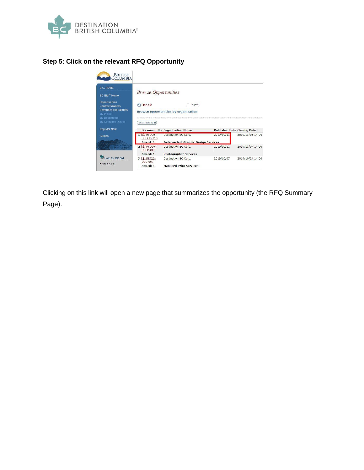

# **Step 5: Click on the relevant RFQ Opportunity**



Clicking on this link will open a new page that summarizes the opportunity (the RFQ Summary Page).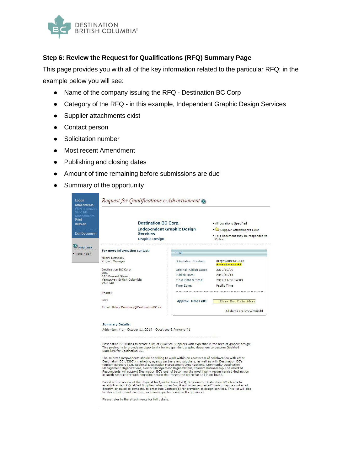

## **Step 6: Review the Request for Qualifications (RFQ) Summary Page**

This page provides you with all of the key information related to the particular RFQ; in the example below you will see:

- Name of the company issuing the RFQ Destination BC Corp
- Category of the RFQ in this example, Independent Graphic Design Services
- Supplier attachments exist
- Contact person
- Solicitation number
- Most recent Amendment
- Publishing and closing dates
- Amount of time remaining before submissions are due
- Summary of the opportunity

| Send Me<br><b>Amendments</b><br><b>Print</b><br>Refresh | <b>Destination BC Corp.</b><br><b>Independent Graphic Design</b> |                                          | • All Locations Specified<br>Supplier Attachments Exist                                                                                                                                                                                                                                                                                                                                                                                                                                                                                                                                           |                                                                                                                |  |
|---------------------------------------------------------|------------------------------------------------------------------|------------------------------------------|---------------------------------------------------------------------------------------------------------------------------------------------------------------------------------------------------------------------------------------------------------------------------------------------------------------------------------------------------------------------------------------------------------------------------------------------------------------------------------------------------------------------------------------------------------------------------------------------------|----------------------------------------------------------------------------------------------------------------|--|
| <b>Exit Document</b>                                    |                                                                  | <b>Services</b><br><b>Graphic Design</b> |                                                                                                                                                                                                                                                                                                                                                                                                                                                                                                                                                                                                   | . This document may be responded to<br>Online                                                                  |  |
| <b>Help Desk</b>                                        |                                                                  |                                          |                                                                                                                                                                                                                                                                                                                                                                                                                                                                                                                                                                                                   |                                                                                                                |  |
| Need help?                                              | For more information contact:                                    |                                          | Final                                                                                                                                                                                                                                                                                                                                                                                                                                                                                                                                                                                             |                                                                                                                |  |
|                                                         | Hilary Dempsey<br>Project Manager                                |                                          | Solicitation Number:                                                                                                                                                                                                                                                                                                                                                                                                                                                                                                                                                                              | RFQ20-DBCGD-010<br>Amendment #1                                                                                |  |
|                                                         | Destination BC Corp.                                             |                                          | Original Publish Date:                                                                                                                                                                                                                                                                                                                                                                                                                                                                                                                                                                            | 2019/10/09                                                                                                     |  |
|                                                         | <b>DBC</b><br>510 Burrard Street                                 |                                          | Publish Date:                                                                                                                                                                                                                                                                                                                                                                                                                                                                                                                                                                                     | 2019/10/11                                                                                                     |  |
|                                                         | Vancouver, British Columbia<br><b>V6C 3A8</b>                    |                                          | Close Date & Time:                                                                                                                                                                                                                                                                                                                                                                                                                                                                                                                                                                                | 2019/11/06 14:00                                                                                               |  |
|                                                         |                                                                  |                                          | Time Zone:                                                                                                                                                                                                                                                                                                                                                                                                                                                                                                                                                                                        | Pacific Time                                                                                                   |  |
|                                                         | Phone:                                                           |                                          |                                                                                                                                                                                                                                                                                                                                                                                                                                                                                                                                                                                                   |                                                                                                                |  |
|                                                         | Fax:                                                             |                                          | <b>Approx. Time Left:</b>                                                                                                                                                                                                                                                                                                                                                                                                                                                                                                                                                                         | 22day 3hr 21min 46sec                                                                                          |  |
|                                                         | Email: Hilary.Dempsey@DestinationBC.ca                           |                                          |                                                                                                                                                                                                                                                                                                                                                                                                                                                                                                                                                                                                   | All dates are yyyy/mm/dd                                                                                       |  |
|                                                         | <b>Summary Details:</b>                                          |                                          |                                                                                                                                                                                                                                                                                                                                                                                                                                                                                                                                                                                                   |                                                                                                                |  |
|                                                         | Addendum # 1 - October 11, 2019 - Questions & Answers #1         |                                          |                                                                                                                                                                                                                                                                                                                                                                                                                                                                                                                                                                                                   |                                                                                                                |  |
|                                                         |                                                                  |                                          |                                                                                                                                                                                                                                                                                                                                                                                                                                                                                                                                                                                                   |                                                                                                                |  |
|                                                         | Suppliers for Destination BC.                                    |                                          | This posting is to provide an opportunity for independent graphic designers to become Qualified                                                                                                                                                                                                                                                                                                                                                                                                                                                                                                   | Destination BC wishes to create a list of Qualified Suppliers with expertise in the area of graphic design.    |  |
|                                                         |                                                                  |                                          | The selected Respondents should be willing to work within an ecosystem of collaboration with other<br>Destination BC ("DBC") marketing agency partners and suppliers, as well as with Destination BC's<br>tourism partners (e.g. Regional Destination Management Organizations, Community Destination<br>Management Organizations, Sector Management Organizations, tourism businesses). The selected<br>Respondents will support Destination BC's goal of becoming the most highly recommended destination<br>in North America through engaging design that meets the objective and is on-brand. |                                                                                                                |  |
|                                                         |                                                                  |                                          | Based on the review of the Request for Qualifications (RFQ) Responses, Destination BC intends to<br>establish a List of Qualified Suppliers who, on an "as, if and when requested" basis, may be contacted<br>be shared with, and used by, our tourism partners across the province.                                                                                                                                                                                                                                                                                                              | directly, or asked to compete, to enter into Contract(s) for provision of design services. This list will also |  |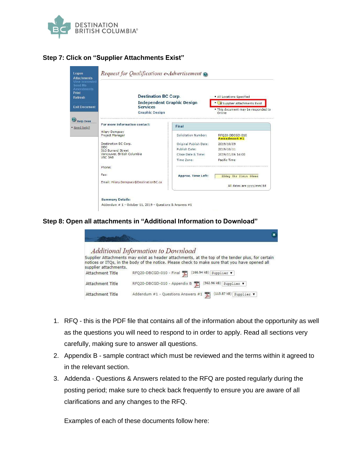

# **Step 7: Click on "Supplier Attachments Exist"**

| Logon<br><b>Attachments</b>                                                       | Request for Qualifications e-Advertisement @                                  |                           |                                               |  |
|-----------------------------------------------------------------------------------|-------------------------------------------------------------------------------|---------------------------|-----------------------------------------------|--|
| <b>View Interested</b><br>Send Me<br><b>Amendments</b><br>Print<br><b>Refresh</b> | <b>Destination BC Corp.</b>                                                   |                           | . All Locations Specified                     |  |
|                                                                                   | <b>Independent Graphic Design</b><br><b>Services</b><br><b>Graphic Design</b> |                           | Supplier Attachments Exist                    |  |
| <b>Exit Document</b>                                                              |                                                                               |                           | . This document may be responded to<br>Online |  |
| <b>Help Desk</b>                                                                  |                                                                               |                           |                                               |  |
| Need help?<br><b>Hilary Dempsey</b><br>Project Manager                            | For more information contact:                                                 | Final                     |                                               |  |
|                                                                                   |                                                                               | Solicitation Number:      | RFQ20-DBCGD-010<br>Amendment #1               |  |
|                                                                                   | Destination BC Corp.                                                          | Original Publish Date:    | 2019/10/09                                    |  |
|                                                                                   | DBC.<br>510 Burrard Street<br>Vancouver, British Columbia<br><b>V6C 3A8</b>   | Publish Date:             | 2019/10/11                                    |  |
|                                                                                   |                                                                               | Close Date & Time:        | 2019/11/06 14:00                              |  |
|                                                                                   |                                                                               | Time Zone:                | Pacific Time                                  |  |
|                                                                                   | Phone:                                                                        |                           |                                               |  |
|                                                                                   | Fax:                                                                          | <b>Approx. Time Left:</b> | 22day 3hr 21min 46sec                         |  |
|                                                                                   | Email: Hilary.Dempsey@DestinationBC.ca                                        |                           | All dates are yyyy/mm/dd                      |  |
|                                                                                   | <b>Summary Details:</b>                                                       |                           |                                               |  |
|                                                                                   | Addendum # 1 - October 11, 2019 - Questions & Answers #1                      |                           |                                               |  |

**Step 8: Open all attachments in "Additional Information to Download"**

|                       | <b>Additional Information to Download</b><br>Supplier Attachments may exist as header attachments, at the top of the tender plus, for certain |
|-----------------------|-----------------------------------------------------------------------------------------------------------------------------------------------|
| supplier attachments. | notices or ITOs, in the body of the notice. Please check to make sure that you have opened all                                                |
| Attachment Title      | (166.94 kB)<br>RFQ20-DBCGD-010 - Final<br>Supplier v                                                                                          |
| Attachment Title      | [562.96 kB]<br>RFQ20-DBCGD-010 - Appendix B<br>æ<br>Supplier v                                                                                |
| Attachment Title      | (115.87 kB)<br>Addendum #1 - Questions Answers #1<br>쪷<br>Supplier \                                                                          |

- 1. RFQ this is the PDF file that contains all of the information about the opportunity as well as the questions you will need to respond to in order to apply. Read all sections very carefully, making sure to answer all questions.
- 2. Appendix B sample contract which must be reviewed and the terms within it agreed to in the relevant section.
- 3. Addenda Questions & Answers related to the RFQ are posted regularly during the posting period; make sure to check back frequently to ensure you are aware of all clarifications and any changes to the RFQ.

Examples of each of these documents follow here: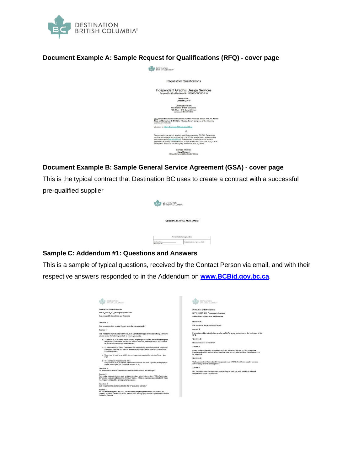

#### **Document Example A: Sample Request for Qualifications (RFQ) - cover page**



## **Document Example B: Sample General Service Agreement (GSA) - cover page**

This is the typical contract that Destination BC uses to create a contract with a successful pre-qualified supplier

| <b>DESTINATION</b><br>BRITISH COLUMBIA"<br>BC, |                                  |
|------------------------------------------------|----------------------------------|
|                                                | <b>GENERAL SERVICE AGREEMENT</b> |
|                                                | For Administrative Purposes Only |
| Control No.:<br><b>Requisitive N</b>           | Templete version: April 2011     |

## **Sample C: Addendum #1: Questions and Answers**

This is a sample of typical questions, received by the Contact Person via email, and with their respective answers responded to in the Addendum on **[www.BCBid.gov.bc.ca](https://new.bcbid.gov.bc.ca/page.aspx/en/usr/login?ReturnUrl=%2fpage.aspx%2fen%2fbuy%2fhomepage)**.

| DESTINATION<br><b>BRITISH COLUMBIAT</b>                                                                                                                                                                                                                        | DESTINATION<br>BRITISH COLUMBIA"                                                                                                                                                                              |
|----------------------------------------------------------------------------------------------------------------------------------------------------------------------------------------------------------------------------------------------------------------|---------------------------------------------------------------------------------------------------------------------------------------------------------------------------------------------------------------|
| Destination British Columbia                                                                                                                                                                                                                                   | Destination British Columbia                                                                                                                                                                                  |
| RFP20 DBCP 011 Photography Services                                                                                                                                                                                                                            | RFP20 DBCP 011 Photography Services                                                                                                                                                                           |
| Addendum #1: Questions and Answers                                                                                                                                                                                                                             | <b>Addendum #1: Questions and Answers</b>                                                                                                                                                                     |
| Question 1:                                                                                                                                                                                                                                                    | Question 4:                                                                                                                                                                                                   |
| Can companies from outside Canada apply for this opportunity?                                                                                                                                                                                                  | Can we submit the proposals via email?                                                                                                                                                                        |
| Answer 1:                                                                                                                                                                                                                                                      | Answer 4:                                                                                                                                                                                                     |
| Yes, independent photographers from outside Canada can apply for this opportunity. However,<br>please review the following carefully to ensure you qualify:                                                                                                    | Proposals must be submitted via email or on BC Bid as per instructions on the front cover of the<br>RFQ.                                                                                                      |
| a) To capture BC's diversity, we are looking for photographers who are located throughout<br>the province, both within and beyond Metro Vancouver, and especially in more remote<br>locations outside of major urban centres.                                  | Question 5:<br>How do I respond to the RFQ?                                                                                                                                                                   |
| b) All travel outside of British Columbia is the responsibility of the Respondent; only travel<br>expenses confirmed in a specific photography contract will be covered by Destination<br>BC or its partners.                                                  | Answer 6:<br>Please review all sections in the RFQ document, especially Section 11: RFQ Response<br>Requirements which outlines all sections that must be completed and how the response must<br>he submitted |
| c) Respondents must be available for meetings or communication between 8am - 4pm<br>PST.                                                                                                                                                                       | Question 6:                                                                                                                                                                                                   |
| d) The Mandatory Requirements state:<br>Respondents must be familiar with British Columbia and have captured photography in<br>similar landscapes and conditions to those of BC.                                                                               | We have seen that Destination BC has posted several RFQs for different creative services -<br>can we apply once for all categories?                                                                           |
| Question 2:                                                                                                                                                                                                                                                    | Answer 6:                                                                                                                                                                                                     |
| Do Respondents need to come to Vancouver/British Columbia for meetings?                                                                                                                                                                                        | No. Each RFQ must be responded to separately as each one is for a distinctly different                                                                                                                        |
| Answer 2:<br>Successful respondents may need to attend meetings between Sam - 4pm PST in Destination<br>BC's (or its partners') offices within 48 hours' notice. All travel expenses associated with these<br>meetings would be at the photographer's expense. | category with unique requirements.                                                                                                                                                                            |
| Question 3:                                                                                                                                                                                                                                                    |                                                                                                                                                                                                               |
| Can we perform the tasks (outlined in the RFQ) outside Canada?                                                                                                                                                                                                 |                                                                                                                                                                                                               |
| Answer 3:<br>No. As stated throughout the RFQ, we are looking for photographers who can capture the<br>diversity of British Columbia. Canada, therefore the photography must be captured within British<br>Columbia, Canada.                                   |                                                                                                                                                                                                               |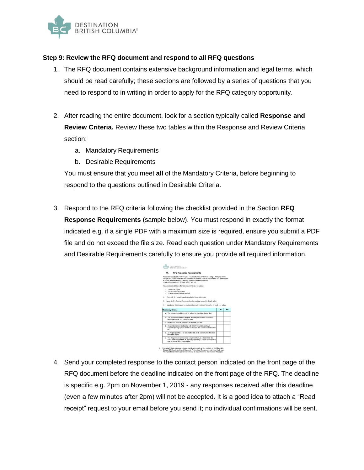

#### **Step 9: Review the RFQ document and respond to all RFQ questions**

- 1. The RFQ document contains extensive background information and legal terms, which should be read carefully; these sections are followed by a series of questions that you need to respond to in writing in order to apply for the RFQ category opportunity.
- 2. After reading the entire document, look for a section typically called **Response and Review Criteria.** Review these two tables within the Response and Review Criteria section:
	- a. Mandatory Requirements
	- b. Desirable Requirements

You must ensure that you meet **all** of the Mandatory Criteria, before beginning to respond to the questions outlined in Desirable Criteria.

3. Respond to the RFQ criteria following the checklist provided in the Section **RFQ Response Requirements** (sample below). You must respond in exactly the format indicated e.g. if a single PDF with a maximum size is required, ensure you submit a PDF file and do not exceed the file size. Read each question under Mandatory Requirements and Desirable Requirements carefully to ensure you provide all required information.



4. Send your completed response to the contact person indicated on the front page of the RFQ document before the deadline indicated on the front page of the RFQ. The deadline is specific e.g. 2pm on November 1, 2019 - any responses received after this deadline (even a few minutes after 2pm) will not be accepted. It is a good idea to attach a "Read receipt" request to your email before you send it; no individual confirmations will be sent.